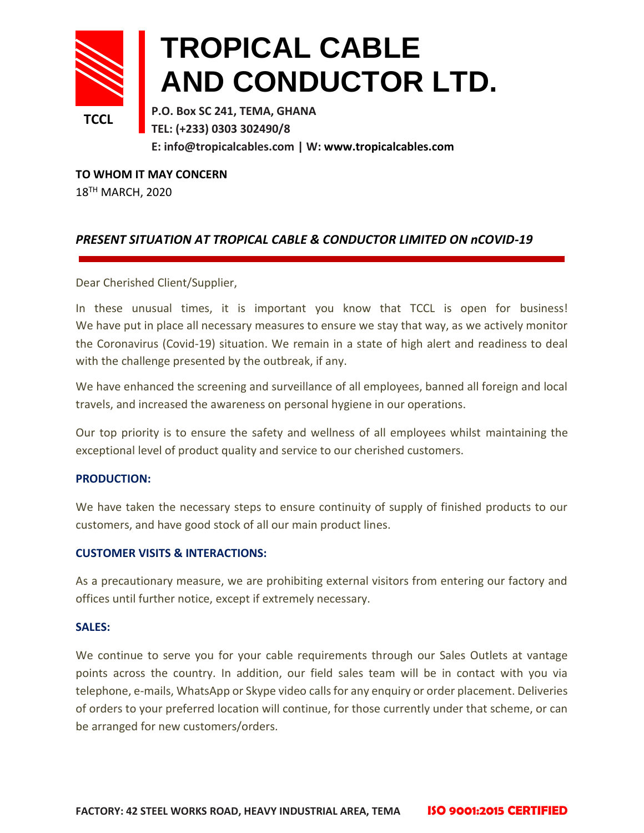

# **TROPICAL CABLE AND CONDUCTOR LTD.**

**P.O. Box SC 241, TEMA, GHANA TEL: (+233) 0303 302490/8 E: info@tropicalcables.com | W: [www.tropicalcables.com](http://www.tropicalcables.com/)**

**TO WHOM IT MAY CONCERN** 18TH MARCH, 2020

## *PRESENT SITUATION AT TROPICAL CABLE & CONDUCTOR LIMITED ON nCOVID-19*

Dear Cherished Client/Supplier,

In these unusual times, it is important you know that TCCL is open for business! We have put in place all necessary measures to ensure we stay that way, as we actively monitor the Coronavirus (Covid-19) situation. We remain in a state of high alert and readiness to deal with the challenge presented by the outbreak, if any.

We have enhanced the screening and surveillance of all employees, banned all foreign and local travels, and increased the awareness on personal hygiene in our operations.

Our top priority is to ensure the safety and wellness of all employees whilst maintaining the exceptional level of product quality and service to our cherished customers.

### **PRODUCTION:**

We have taken the necessary steps to ensure continuity of supply of finished products to our customers, and have good stock of all our main product lines.

### **CUSTOMER VISITS & INTERACTIONS:**

As a precautionary measure, we are prohibiting external visitors from entering our factory and offices until further notice, except if extremely necessary.

### **SALES:**

We continue to serve you for your cable requirements through our Sales Outlets at vantage points across the country. In addition, our field sales team will be in contact with you via telephone, e-mails, WhatsApp or Skype video calls for any enquiry or order placement. Deliveries of orders to your preferred location will continue, for those currently under that scheme, or can be arranged for new customers/orders.